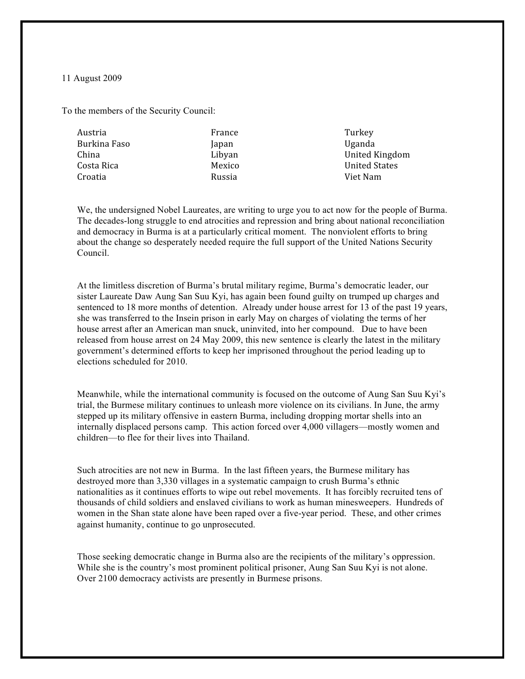11 August 2009

To the members of the Security Council:

| Austria      | France |
|--------------|--------|
| Burkina Faso | Japan  |
| China        | Libyan |
| Costa Rica   | Mexico |
| Croatia      | Russia |

Turkey Uganda United
Kingdom United
States Viet
Nam

We, the undersigned Nobel Laureates, are writing to urge you to act now for the people of Burma. The decades-long struggle to end atrocities and repression and bring about national reconciliation and democracy in Burma is at a particularly critical moment. The nonviolent efforts to bring about the change so desperately needed require the full support of the United Nations Security Council.

At the limitless discretion of Burma's brutal military regime, Burma's democratic leader, our sister Laureate Daw Aung San Suu Kyi, has again been found guilty on trumped up charges and sentenced to 18 more months of detention. Already under house arrest for 13 of the past 19 years, she was transferred to the Insein prison in early May on charges of violating the terms of her house arrest after an American man snuck, uninvited, into her compound. Due to have been released from house arrest on 24 May 2009, this new sentence is clearly the latest in the military government's determined efforts to keep her imprisoned throughout the period leading up to elections scheduled for 2010.

Meanwhile, while the international community is focused on the outcome of Aung San Suu Kyi's trial, the Burmese military continues to unleash more violence on its civilians. In June, the army stepped up its military offensive in eastern Burma, including dropping mortar shells into an internally displaced persons camp. This action forced over 4,000 villagers—mostly women and children—to flee for their lives into Thailand.

Such atrocities are not new in Burma. In the last fifteen years, the Burmese military has destroyed more than 3,330 villages in a systematic campaign to crush Burma's ethnic nationalities as it continues efforts to wipe out rebel movements. It has forcibly recruited tens of thousands of child soldiers and enslaved civilians to work as human minesweepers. Hundreds of women in the Shan state alone have been raped over a five-year period. These, and other crimes against humanity, continue to go unprosecuted.

Those seeking democratic change in Burma also are the recipients of the military's oppression. While she is the country's most prominent political prisoner, Aung San Suu Kyi is not alone. Over 2100 democracy activists are presently in Burmese prisons.